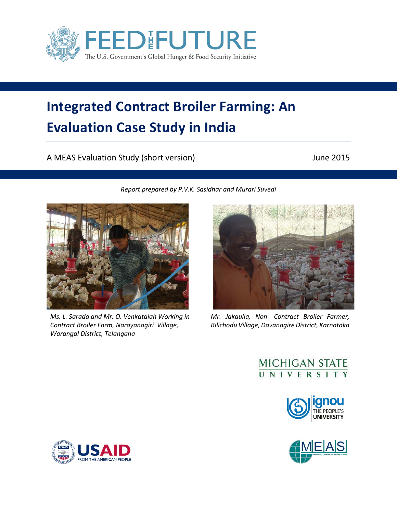

# **Integrated Contract Broiler Farming: An Evaluation Case Study in India**

*Report prepared by P.V.K. Sasidhar and Murari Suvedi*

A MEAS Evaluation Study (short version) and the control of the 2015



*Ms. L. Sarada and Mr. O. Venkataiah Working in Contract Broiler Farm, Narayanagiri Village, Warangal District, Telangana*



*Mr. Jakaulla, Non- Contract Broiler Farmer, Bilichodu Village, Davanagire District, Karnataka*

# MICHIGAN STATE





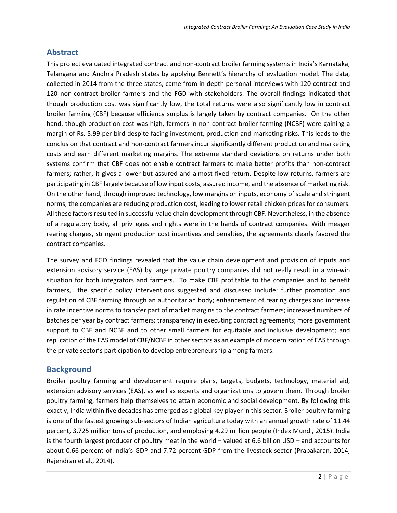# **Abstract**

This project evaluated integrated contract and non-contract broiler farming systems in India's Karnataka, Telangana and Andhra Pradesh states by applying Bennett's hierarchy of evaluation model. The data, collected in 2014 from the three states, came from in-depth personal interviews with 120 contract and 120 non-contract broiler farmers and the FGD with stakeholders. The overall findings indicated that though production cost was significantly low, the total returns were also significantly low in contract broiler farming (CBF) because efficiency surplus is largely taken by contract companies. On the other hand, though production cost was high, farmers in non-contract broiler farming (NCBF) were gaining a margin of Rs. 5.99 per bird despite facing investment, production and marketing risks. This leads to the conclusion that contract and non-contract farmers incur significantly different production and marketing costs and earn different marketing margins. The extreme standard deviations on returns under both systems confirm that CBF does not enable contract farmers to make better profits than non-contract farmers; rather, it gives a lower but assured and almost fixed return. Despite low returns, farmers are participating in CBF largely because of low input costs, assured income, and the absence of marketing risk. On the other hand, through improved technology, low margins on inputs, economy of scale and stringent norms, the companies are reducing production cost, leading to lower retail chicken prices for consumers. All these factors resulted in successful value chain development through CBF. Nevertheless, in the absence of a regulatory body, all privileges and rights were in the hands of contract companies. With meager rearing charges, stringent production cost incentives and penalties, the agreements clearly favored the contract companies.

The survey and FGD findings revealed that the value chain development and provision of inputs and extension advisory service (EAS) by large private poultry companies did not really result in a win-win situation for both integrators and farmers. To make CBF profitable to the companies and to benefit farmers, the specific policy interventions suggested and discussed include: further promotion and regulation of CBF farming through an authoritarian body; enhancement of rearing charges and increase in rate incentive norms to transfer part of market margins to the contract farmers; increased numbers of batches per year by contract farmers; transparency in executing contract agreements; more government support to CBF and NCBF and to other small farmers for equitable and inclusive development; and replication of the EAS model of CBF/NCBF in other sectors as an example of modernization of EAS through the private sector's participation to develop entrepreneurship among farmers.

# **Background**

Broiler poultry farming and development require plans, targets, budgets, technology, material aid, extension advisory services (EAS), as well as experts and organizations to govern them. Through broiler poultry farming, farmers help themselves to attain economic and social development. By following this exactly, India within five decades has emerged as a global key player in this sector. Broiler poultry farming is one of the fastest growing sub-sectors of Indian agriculture today with an annual growth rate of 11.44 percent, 3.725 million tons of production, and employing 4.29 million people (Index Mundi, 2015). India is the fourth largest producer of poultry meat in the world – valued at 6.6 billion USD – and accounts for about 0.66 percent of India's GDP and 7.72 percent GDP from the livestock sector (Prabakaran, 2014; Rajendran et al., 2014).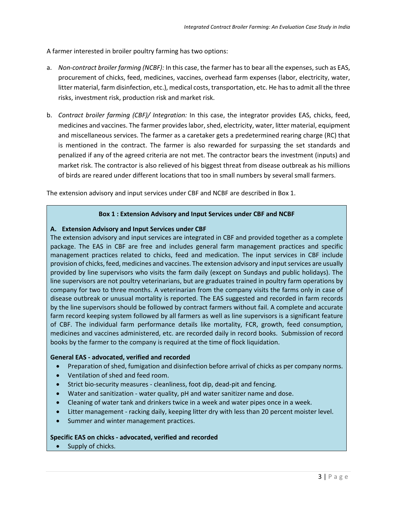A farmer interested in broiler poultry farming has two options:

- a. *Non-contract broiler farming (NCBF):* In this case, the farmer has to bear all the expenses, such as EAS, procurement of chicks, feed, medicines, vaccines, overhead farm expenses (labor, electricity, water, litter material, farm disinfection, etc.), medical costs, transportation, etc. He has to admit all the three risks, investment risk, production risk and market risk.
- b. *Contract broiler farming (CBF)/ Integration:* In this case, the integrator provides EAS, chicks, feed, medicines and vaccines. The farmer provides labor, shed, electricity, water, litter material, equipment and miscellaneous services. The farmer as a caretaker gets a predetermined rearing charge (RC) that is mentioned in the contract. The farmer is also rewarded for surpassing the set standards and penalized if any of the agreed criteria are not met. The contractor bears the investment (inputs) and market risk. The contractor is also relieved of his biggest threat from disease outbreak as his millions of birds are reared under different locations that too in small numbers by several small farmers.

The extension advisory and input services under CBF and NCBF are described in Box 1.

#### **Box 1 : Extension Advisory and Input Services under CBF and NCBF**

#### **A. Extension Advisory and Input Services under CBF**

The extension advisory and input services are integrated in CBF and provided together as a complete package. The EAS in CBF are free and includes general farm management practices and specific management practices related to chicks, feed and medication. The input services in CBF include provision of chicks, feed, medicines and vaccines. The extension advisory and input services are usually provided by line supervisors who visits the farm daily (except on Sundays and public holidays). The line supervisors are not poultry veterinarians, but are graduates trained in poultry farm operations by company for two to three months. A veterinarian from the company visits the farms only in case of disease outbreak or unusual mortality is reported. The EAS suggested and recorded in farm records by the line supervisors should be followed by contract farmers without fail. A complete and accurate farm record keeping system followed by all farmers as well as line supervisors is a significant feature of CBF. The individual farm performance details like mortality, FCR, growth, feed consumption, medicines and vaccines administered, etc. are recorded daily in record books. Submission of record books by the farmer to the company is required at the time of flock liquidation.

#### **General EAS - advocated, verified and recorded**

- Preparation of shed, fumigation and disinfection before arrival of chicks as per company norms.
- Ventilation of shed and feed room.
- Strict bio-security measures cleanliness, foot dip, dead-pit and fencing.
- Water and sanitization water quality, pH and water sanitizer name and dose.
- Cleaning of water tank and drinkers twice in a week and water pipes once in a week.
- Litter management racking daily, keeping litter dry with less than 20 percent moister level.
- Summer and winter management practices.

#### **Specific EAS on chicks - advocated, verified and recorded**

• Supply of chicks.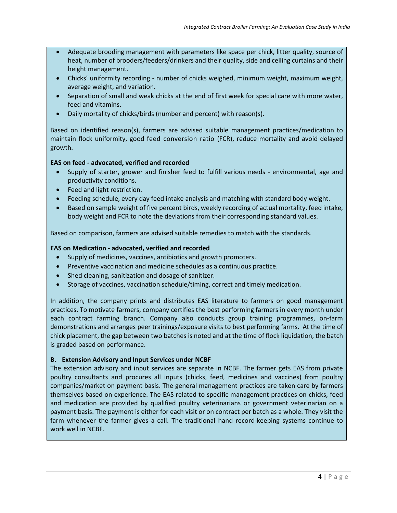- Adequate brooding management with parameters like space per chick, litter quality, source of heat, number of brooders/feeders/drinkers and their quality, side and ceiling curtains and their height management.
- Chicks' uniformity recording number of chicks weighed, minimum weight, maximum weight, average weight, and variation.
- Separation of small and weak chicks at the end of first week for special care with more water, feed and vitamins.
- Daily mortality of chicks/birds (number and percent) with reason(s).

Based on identified reason(s), farmers are advised suitable management practices/medication to maintain flock uniformity, good feed conversion ratio (FCR), reduce mortality and avoid delayed growth.

#### **EAS on feed - advocated, verified and recorded**

- Supply of starter, grower and finisher feed to fulfill various needs environmental, age and productivity conditions.
- Feed and light restriction.
- Feeding schedule, every day feed intake analysis and matching with standard body weight.
- Based on sample weight of five percent birds, weekly recording of actual mortality, feed intake, body weight and FCR to note the deviations from their corresponding standard values.

Based on comparison, farmers are advised suitable remedies to match with the standards.

#### **EAS on Medication - advocated, verified and recorded**

- Supply of medicines, vaccines, antibiotics and growth promoters.
- Preventive vaccination and medicine schedules as a continuous practice.
- Shed cleaning, sanitization and dosage of sanitizer.
- Storage of vaccines, vaccination schedule/timing, correct and timely medication.

In addition, the company prints and distributes EAS literature to farmers on good management practices. To motivate farmers, company certifies the best performing farmers in every month under each contract farming branch. Company also conducts group training programmes, on-farm demonstrations and arranges peer trainings/exposure visits to best performing farms. At the time of chick placement, the gap between two batches is noted and at the time of flock liquidation, the batch is graded based on performance.

#### **B. Extension Advisory and Input Services under NCBF**

The extension advisory and input services are separate in NCBF. The farmer gets EAS from private poultry consultants and procures all inputs (chicks, feed, medicines and vaccines) from poultry companies/market on payment basis. The general management practices are taken care by farmers themselves based on experience. The EAS related to specific management practices on chicks, feed and medication are provided by qualified poultry veterinarians or government veterinarian on a payment basis. The payment is either for each visit or on contract per batch as a whole. They visit the farm whenever the farmer gives a call. The traditional hand record-keeping systems continue to work well in NCBF.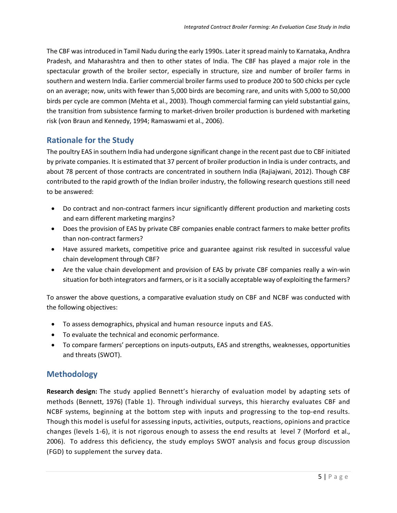The CBF was introduced in Tamil Nadu during the early 1990s. Later it spread mainly to Karnataka, Andhra Pradesh, and Maharashtra and then to other states of India. The CBF has played a major role in the spectacular growth of the broiler sector, especially in structure, size and number of broiler farms in southern and western India. Earlier commercial broiler farms used to produce 200 to 500 chicks per cycle on an average; now, units with fewer than 5,000 birds are becoming rare, and units with 5,000 to 50,000 birds per cycle are common (Mehta et al., 2003). Though commercial farming can yield substantial gains, the transition from subsistence farming to market-driven broiler production is burdened with marketing risk (von Braun and Kennedy, 1994; Ramaswami et al., 2006).

# **Rationale for the Study**

The poultry EAS in southern India had undergone significant change in the recent past due to CBF initiated by private companies. It is estimated that 37 percent of broiler production in India is under contracts, and about 78 percent of those contracts are concentrated in southern India (Rajiajwani, 2012). Though CBF contributed to the rapid growth of the Indian broiler industry, the following research questions still need to be answered:

- Do contract and non-contract farmers incur significantly different production and marketing costs and earn different marketing margins?
- Does the provision of EAS by private CBF companies enable contract farmers to make better profits than non-contract farmers?
- Have assured markets, competitive price and guarantee against risk resulted in successful value chain development through CBF?
- Are the value chain development and provision of EAS by private CBF companies really a win-win situation for both integrators and farmers, or is it a socially acceptable way of exploiting the farmers?

To answer the above questions, a comparative evaluation study on CBF and NCBF was conducted with the following objectives:

- To assess demographics, physical and human resource inputs and EAS.
- To evaluate the technical and economic performance.
- To compare farmers' perceptions on inputs-outputs, EAS and strengths, weaknesses, opportunities and threats (SWOT).

# **Methodology**

**Research design:** The study applied Bennett's hierarchy of evaluation model by adapting sets of methods (Bennett, 1976) (Table 1). Through individual surveys, this hierarchy evaluates CBF and NCBF systems, beginning at the bottom step with inputs and progressing to the top-end results. Though this model is useful for assessing inputs, activities, outputs, reactions, opinions and practice changes (levels 1-6), it is not rigorous enough to assess the end results at level 7 (Morford et al., 2006). To address this deficiency, the study employs SWOT analysis and focus group discussion (FGD) to supplement the survey data.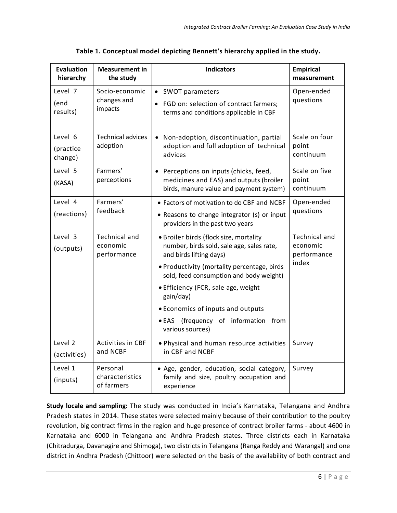| <b>Evaluation</b><br>hierarchy  | <b>Measurement in</b><br>the study              | <b>Indicators</b>                                                                                                                                                                                                                                                                                                                                             | <b>Empirical</b><br>measurement                          |
|---------------------------------|-------------------------------------------------|---------------------------------------------------------------------------------------------------------------------------------------------------------------------------------------------------------------------------------------------------------------------------------------------------------------------------------------------------------------|----------------------------------------------------------|
| Level 7<br>(end<br>results)     | Socio-economic<br>changes and<br>impacts        | SWOT parameters<br>$\bullet$<br>FGD on: selection of contract farmers;<br>terms and conditions applicable in CBF                                                                                                                                                                                                                                              | Open-ended<br>questions                                  |
| Level 6<br>(practice<br>change) | <b>Technical advices</b><br>adoption            | Non-adoption, discontinuation, partial<br>adoption and full adoption of technical<br>advices                                                                                                                                                                                                                                                                  | Scale on four<br>point<br>continuum                      |
| Level 5<br>(KASA)               | Farmers'<br>perceptions                         | • Perceptions on inputs (chicks, feed,<br>medicines and EAS) and outputs (broiler<br>birds, manure value and payment system)                                                                                                                                                                                                                                  | Scale on five<br>point<br>continuum                      |
| Level 4<br>(reactions)          | Farmers'<br>feedback                            | • Factors of motivation to do CBF and NCBF<br>• Reasons to change integrator (s) or input<br>providers in the past two years                                                                                                                                                                                                                                  | Open-ended<br>questions                                  |
| Level 3<br>(outputs)            | <b>Technical and</b><br>economic<br>performance | · Broiler birds (flock size, mortality<br>number, birds sold, sale age, sales rate,<br>and birds lifting days)<br>• Productivity (mortality percentage, birds<br>sold, feed consumption and body weight)<br>• Efficiency (FCR, sale age, weight<br>gain/day)<br>• Economics of inputs and outputs<br>• EAS (frequency of information from<br>various sources) | <b>Technical and</b><br>economic<br>performance<br>index |
| Level 2<br>(activities)         | Activities in CBF<br>and NCBF                   | . Physical and human resource activities<br>in CBF and NCBF                                                                                                                                                                                                                                                                                                   | Survey                                                   |
| Level 1<br>(inputs)             | Personal<br>characteristics<br>of farmers       | · Age, gender, education, social category,<br>family and size, poultry occupation and<br>experience                                                                                                                                                                                                                                                           | Survey                                                   |

**Table 1. Conceptual model depicting Bennett's hierarchy applied in the study.**

**Study locale and sampling:** The study was conducted in India's Karnataka, Telangana and Andhra Pradesh states in 2014. These states were selected mainly because of their contribution to the poultry revolution, big contract firms in the region and huge presence of contract broiler farms - about 4600 in Karnataka and 6000 in Telangana and Andhra Pradesh states. Three districts each in Karnataka (Chitradurga, Davanagire and Shimoga), two districts in Telangana (Ranga Reddy and Warangal) and one district in Andhra Pradesh (Chittoor) were selected on the basis of the availability of both contract and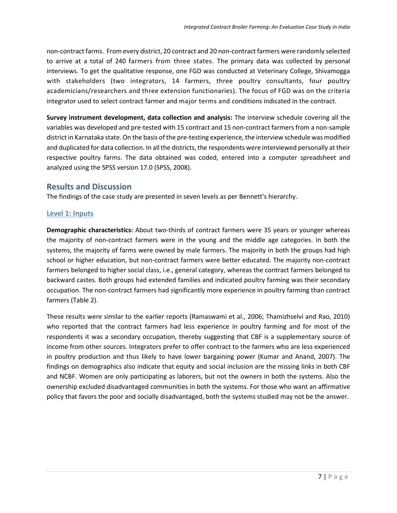non-contract farms. From every district, 20 contract and 20 non-contract farmers were randomly selected to arrive at a total of 240 farmers from three states. The primary data was collected by personal interviews. To get the qualitative response, one FGD was conducted at Veterinary College, Shivamogga with stakeholders (two integrators, 14 farmers, three poultry consultants, four poultry academicians/researchers and three extension functionaries). The focus of FGD was on the criteria integrator used to select contract farmer and major terms and conditions indicated in the contract.

**Survey instrument development, data collection and analysis:** The interview schedule covering all the variables was developed and pre-tested with 15 contract and 15 non-contract farmers from a non-sample district in Karnataka state. On the basis of the pre-testing experience, the interview schedule was modified and duplicated for data collection. In all the districts, the respondents were interviewed personally at their respective poultry farms. The data obtained was coded, entered into a computer spreadsheet and analyzed using the SPSS version 17.0 (SPSS, 2008).

# **Results and Discussion**

The findings of the case study are presented in seven levels as per Bennett's hierarchy.

#### **Level 1: Inputs**

**Demographic characteristics:** About two-thirds of contract farmers were 35 years or younger whereas the majority of non-contract farmers were in the young and the middle age categories. In both the systems, the majority of farms were owned by male farmers. The majority in both the groups had high school or higher education, but non-contract farmers were better educated. The majority non-contract farmers belonged to higher social class, i.e., general category, whereas the contract farmers belonged to backward castes. Both groups had extended families and indicated poultry farming was their secondary occupation. The non-contract farmers had significantly more experience in poultry farming than contract farmers (Table 2).

These results were similar to the earlier reports (Ramaswami et al., 2006; Thamizhselvi and Rao, 2010) who reported that the contract farmers had less experience in poultry farming and for most of the respondents it was a secondary occupation, thereby suggesting that CBF is a supplementary source of income from other sources. Integrators prefer to offer contract to the farmers who are less experienced in poultry production and thus likely to have lower bargaining power (Kumar and Anand, 2007). The findings on demographics also indicate that equity and social inclusion are the missing links in both CBF and NCBF. Women are only participating as laborers, but not the owners in both the systems. Also the ownership excluded disadvantaged communities in both the systems. For those who want an affirmative policy that favors the poor and socially disadvantaged, both the systems studied may not be the answer.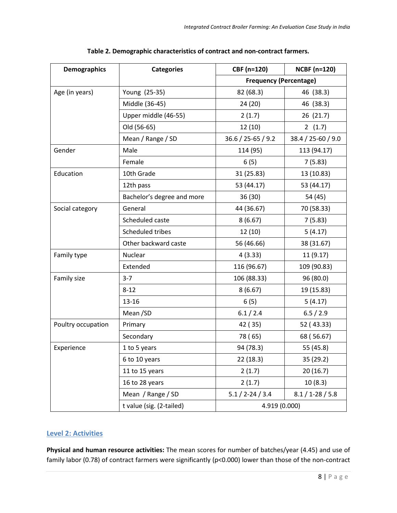| <b>Demographics</b> | <b>Categories</b>          | CBF (n=120)                   | <b>NCBF (n=120)</b>  |  |  |
|---------------------|----------------------------|-------------------------------|----------------------|--|--|
|                     |                            | <b>Frequency (Percentage)</b> |                      |  |  |
| Age (in years)      | Young (25-35)              | 82 (68.3)                     | 46 (38.3)            |  |  |
|                     | Middle (36-45)             | 24 (20)                       | 46 (38.3)            |  |  |
|                     | Upper middle (46-55)       | 2(1.7)                        | 26 (21.7)            |  |  |
|                     | Old (56-65)                | 12 (10)                       | 2(1.7)               |  |  |
|                     | Mean / Range / SD          | 36.6 / 25-65 / 9.2            | 38.4 / 25-60 / 9.0   |  |  |
| Gender              | Male                       | 114 (95)                      | 113 (94.17)          |  |  |
|                     | Female                     | 6(5)                          | 7(5.83)              |  |  |
| Education           | 10th Grade                 | 31 (25.83)                    | 13 (10.83)           |  |  |
|                     | 12th pass                  | 53 (44.17)                    | 53 (44.17)           |  |  |
|                     | Bachelor's degree and more | 36 (30)                       | 54 (45)              |  |  |
| Social category     | General                    | 44 (36.67)                    | 70 (58.33)           |  |  |
|                     | Scheduled caste            | 8(6.67)                       | 7(5.83)              |  |  |
|                     | Scheduled tribes           | 12(10)                        | 5(4.17)              |  |  |
|                     | Other backward caste       | 56 (46.66)                    | 38 (31.67)           |  |  |
| Family type         | <b>Nuclear</b>             | 4(3.33)                       | 11(9.17)             |  |  |
|                     | Extended                   | 116 (96.67)                   | 109 (90.83)          |  |  |
| Family size         | $3 - 7$                    | 106 (88.33)                   | 96 (80.0)            |  |  |
|                     | $8 - 12$                   | 8(6.67)                       | 19 (15.83)           |  |  |
|                     | 13-16                      | 6(5)                          | 5(4.17)              |  |  |
|                     | Mean/SD                    | 6.1 / 2.4                     | 6.5 / 2.9            |  |  |
| Poultry occupation  | Primary                    | 42 (35)                       | 52 (43.33)           |  |  |
|                     | Secondary                  | 78 (65)                       | 68 (56.67)           |  |  |
| Experience          | 1 to 5 years               | 94 (78.3)                     | 55 (45.8)            |  |  |
|                     | 6 to 10 years              | 22 (18.3)                     | 35 (29.2)            |  |  |
|                     | 11 to 15 years             | 2(1.7)                        | 20 (16.7)            |  |  |
|                     | 16 to 28 years             | 2(1.7)                        | 10(8.3)              |  |  |
|                     | Mean / Range / SD          | $5.1 / 2 - 24 / 3.4$          | $8.1 / 1 - 28 / 5.8$ |  |  |
|                     | t value (sig. (2-tailed)   | 4.919 (0.000)                 |                      |  |  |

**Table 2. Demographic characteristics of contract and non-contract farmers.**

#### **Level 2: Activities**

**Physical and human resource activities:** The mean scores for number of batches/year (4.45) and use of family labor (0.78) of contract farmers were significantly (p<0.000) lower than those of the non-contract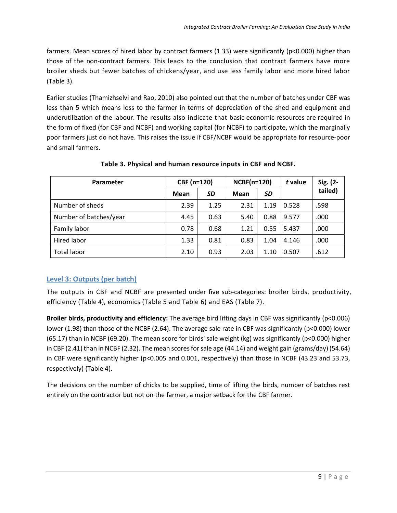farmers. Mean scores of hired labor by contract farmers (1.33) were significantly (p<0.000) higher than those of the non-contract farmers. This leads to the conclusion that contract farmers have more broiler sheds but fewer batches of chickens/year, and use less family labor and more hired labor (Table 3).

Earlier studies (Thamizhselvi and Rao, 2010) also pointed out that the number of batches under CBF was less than 5 which means loss to the farmer in terms of depreciation of the shed and equipment and underutilization of the labour. The results also indicate that basic economic resources are required in the form of fixed (for CBF and NCBF) and working capital (for NCBF) to participate, which the marginally poor farmers just do not have. This raises the issue if CBF/NCBF would be appropriate for resource-poor and small farmers.

| Parameter              | CBF (n=120) |      | <b>NCBF(n=120)</b> |      | t value | Sig. (2- |
|------------------------|-------------|------|--------------------|------|---------|----------|
|                        | Mean        | SD   | Mean               | SD   |         | tailed)  |
| Number of sheds        | 2.39        | 1.25 | 2.31               | 1.19 | 0.528   | .598     |
| Number of batches/year | 4.45        | 0.63 | 5.40               | 0.88 | 9.577   | .000     |
| Family labor           | 0.78        | 0.68 | 1.21               | 0.55 | 5.437   | .000     |
| Hired labor            | 1.33        | 0.81 | 0.83               | 1.04 | 4.146   | .000     |
| <b>Total labor</b>     | 2.10        | 0.93 | 2.03               | 1.10 | 0.507   | .612     |

#### **Table 3. Physical and human resource inputs in CBF and NCBF.**

# **Level 3: Outputs (per batch)**

The outputs in CBF and NCBF are presented under five sub-categories: broiler birds, productivity, efficiency (Table 4), economics (Table 5 and Table 6) and EAS (Table 7).

**Broiler birds, productivity and efficiency:** The average bird lifting days in CBF was significantly (p<0.006) lower (1.98) than those of the NCBF (2.64). The average sale rate in CBF was significantly (p<0.000) lower (65.17) than in NCBF (69.20). The mean score for birds' sale weight (kg) was significantly (p<0.000) higher in CBF (2.41) than in NCBF (2.32). The mean scores for sale age (44.14) and weight gain (grams/day) (54.64) in CBF were significantly higher (p<0.005 and 0.001, respectively) than those in NCBF (43.23 and 53.73, respectively) (Table 4).

The decisions on the number of chicks to be supplied, time of lifting the birds, number of batches rest entirely on the contractor but not on the farmer, a major setback for the CBF farmer.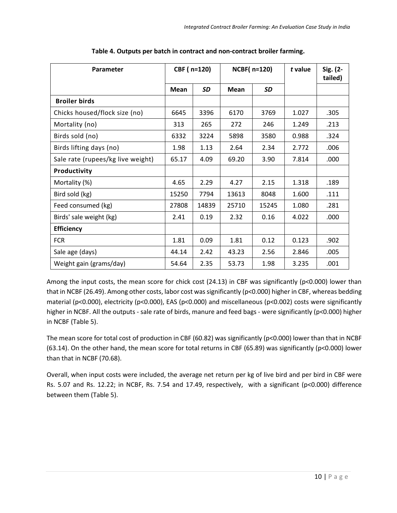| Parameter                         | CBF (n=120) |           | <b>NCBF(n=120)</b> |           | t value | Sig. (2-<br>tailed) |
|-----------------------------------|-------------|-----------|--------------------|-----------|---------|---------------------|
|                                   | Mean        | <b>SD</b> | <b>Mean</b>        | <b>SD</b> |         |                     |
| <b>Broiler birds</b>              |             |           |                    |           |         |                     |
| Chicks housed/flock size (no)     | 6645        | 3396      | 6170               | 3769      | 1.027   | .305                |
| Mortality (no)                    | 313         | 265       | 272                | 246       | 1.249   | .213                |
| Birds sold (no)                   | 6332        | 3224      | 5898               | 3580      | 0.988   | .324                |
| Birds lifting days (no)           | 1.98        | 1.13      | 2.64               | 2.34      | 2.772   | .006                |
| Sale rate (rupees/kg live weight) | 65.17       | 4.09      | 69.20              | 3.90      | 7.814   | .000                |
| Productivity                      |             |           |                    |           |         |                     |
| Mortality (%)                     | 4.65        | 2.29      | 4.27               | 2.15      | 1.318   | .189                |
| Bird sold (kg)                    | 15250       | 7794      | 13613              | 8048      | 1.600   | .111                |
| Feed consumed (kg)                | 27808       | 14839     | 25710              | 15245     | 1.080   | .281                |
| Birds' sale weight (kg)           | 2.41        | 0.19      | 2.32               | 0.16      | 4.022   | .000                |
| <b>Efficiency</b>                 |             |           |                    |           |         |                     |
| <b>FCR</b>                        | 1.81        | 0.09      | 1.81               | 0.12      | 0.123   | .902                |
| Sale age (days)                   | 44.14       | 2.42      | 43.23              | 2.56      | 2.846   | .005                |
| Weight gain (grams/day)           | 54.64       | 2.35      | 53.73              | 1.98      | 3.235   | .001                |

**Table 4. Outputs per batch in contract and non-contract broiler farming.**

Among the input costs, the mean score for chick cost (24.13) in CBF was significantly (p<0.000) lower than that in NCBF (26.49). Among other costs, labor cost was significantly (p<0.000) higher in CBF, whereas bedding material (p<0.000), electricity (p<0.000), EAS (p<0.000) and miscellaneous (p<0.002) costs were significantly higher in NCBF. All the outputs - sale rate of birds, manure and feed bags - were significantly (p<0.000) higher in NCBF (Table 5).

The mean score for total cost of production in CBF (60.82) was significantly (p<0.000) lower than that in NCBF (63.14). On the other hand, the mean score for total returns in CBF (65.89) was significantly (p<0.000) lower than that in NCBF (70.68).

Overall, when input costs were included, the average net return per kg of live bird and per bird in CBF were Rs. 5.07 and Rs. 12.22; in NCBF, Rs. 7.54 and 17.49, respectively, with a significant (p<0.000) difference between them (Table 5).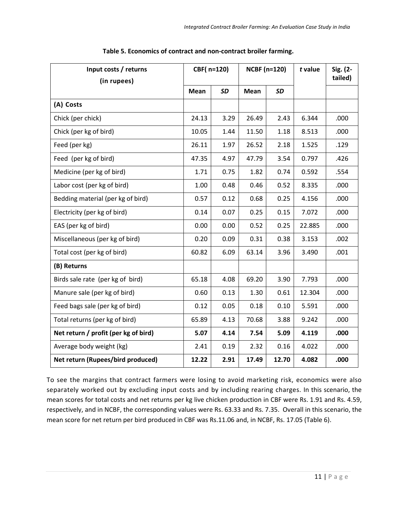| Input costs / returns<br>(in rupees) | CBF(n=120) |           | <b>NCBF (n=120)</b> |           | t value | Sig. (2-<br>tailed) |
|--------------------------------------|------------|-----------|---------------------|-----------|---------|---------------------|
|                                      | Mean       | <b>SD</b> | Mean                | <b>SD</b> |         |                     |
| (A) Costs                            |            |           |                     |           |         |                     |
| Chick (per chick)                    | 24.13      | 3.29      | 26.49               | 2.43      | 6.344   | .000                |
| Chick (per kg of bird)               | 10.05      | 1.44      | 11.50               | 1.18      | 8.513   | .000                |
| Feed (per kg)                        | 26.11      | 1.97      | 26.52               | 2.18      | 1.525   | .129                |
| Feed (per kg of bird)                | 47.35      | 4.97      | 47.79               | 3.54      | 0.797   | .426                |
| Medicine (per kg of bird)            | 1.71       | 0.75      | 1.82                | 0.74      | 0.592   | .554                |
| Labor cost (per kg of bird)          | 1.00       | 0.48      | 0.46                | 0.52      | 8.335   | .000                |
| Bedding material (per kg of bird)    | 0.57       | 0.12      | 0.68                | 0.25      | 4.156   | .000                |
| Electricity (per kg of bird)         | 0.14       | 0.07      | 0.25                | 0.15      | 7.072   | .000                |
| EAS (per kg of bird)                 | 0.00       | 0.00      | 0.52                | 0.25      | 22.885  | .000                |
| Miscellaneous (per kg of bird)       | 0.20       | 0.09      | 0.31                | 0.38      | 3.153   | .002                |
| Total cost (per kg of bird)          | 60.82      | 6.09      | 63.14               | 3.96      | 3.490   | .001                |
| (B) Returns                          |            |           |                     |           |         |                     |
| Birds sale rate (per kg of bird)     | 65.18      | 4.08      | 69.20               | 3.90      | 7.793   | .000                |
| Manure sale (per kg of bird)         | 0.60       | 0.13      | 1.30                | 0.61      | 12.304  | .000                |
| Feed bags sale (per kg of bird)      | 0.12       | 0.05      | 0.18                | 0.10      | 5.591   | .000                |
| Total returns (per kg of bird)       | 65.89      | 4.13      | 70.68               | 3.88      | 9.242   | .000                |
| Net return / profit (per kg of bird) | 5.07       | 4.14      | 7.54                | 5.09      | 4.119   | .000                |
| Average body weight (kg)             | 2.41       | 0.19      | 2.32                | 0.16      | 4.022   | .000                |
| Net return (Rupees/bird produced)    | 12.22      | 2.91      | 17.49               | 12.70     | 4.082   | .000                |

**Table 5. Economics of contract and non-contract broiler farming.**

To see the margins that contract farmers were losing to avoid marketing risk, economics were also separately worked out by excluding input costs and by including rearing charges. In this scenario, the mean scores for total costs and net returns per kg live chicken production in CBF were Rs. 1.91 and Rs. 4.59, respectively, and in NCBF, the corresponding values were Rs. 63.33 and Rs. 7.35. Overall in this scenario, the mean score for net return per bird produced in CBF was Rs.11.06 and, in NCBF, Rs. 17.05 (Table 6).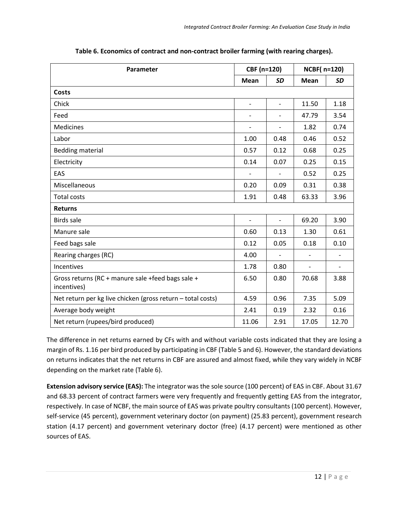| Parameter                                                        | CBF (n=120)              |                          | <b>NCBF(n=120)</b>       |                          |  |
|------------------------------------------------------------------|--------------------------|--------------------------|--------------------------|--------------------------|--|
|                                                                  | <b>Mean</b>              | <b>SD</b>                | <b>Mean</b>              | <b>SD</b>                |  |
| Costs                                                            |                          |                          |                          |                          |  |
| Chick                                                            | $\overline{\phantom{a}}$ | $\overline{a}$           | 11.50                    | 1.18                     |  |
| Feed                                                             | $\overline{\phantom{a}}$ | $\overline{\phantom{a}}$ | 47.79                    | 3.54                     |  |
| <b>Medicines</b>                                                 | $\overline{\phantom{a}}$ | $\overline{\phantom{0}}$ | 1.82                     | 0.74                     |  |
| Labor                                                            | 1.00                     | 0.48                     | 0.46                     | 0.52                     |  |
| <b>Bedding material</b>                                          | 0.57                     | 0.12                     | 0.68                     | 0.25                     |  |
| Electricity                                                      | 0.14                     | 0.07                     | 0.25                     | 0.15                     |  |
| EAS                                                              |                          | $\overline{\phantom{0}}$ | 0.52                     | 0.25                     |  |
| Miscellaneous                                                    | 0.20                     | 0.09                     | 0.31                     | 0.38                     |  |
| <b>Total costs</b>                                               | 1.91                     | 0.48                     | 63.33                    | 3.96                     |  |
| <b>Returns</b>                                                   |                          |                          |                          |                          |  |
| <b>Birds sale</b>                                                | $\overline{\phantom{a}}$ | $\overline{\phantom{m}}$ | 69.20                    | 3.90                     |  |
| Manure sale                                                      | 0.60                     | 0.13                     | 1.30                     | 0.61                     |  |
| Feed bags sale                                                   | 0.12                     | 0.05                     | 0.18                     | 0.10                     |  |
| Rearing charges (RC)                                             | 4.00                     | $\qquad \qquad -$        |                          | $\overline{\phantom{a}}$ |  |
| Incentives                                                       | 1.78                     | 0.80                     | $\overline{\phantom{0}}$ | $\overline{\phantom{a}}$ |  |
| Gross returns (RC + manure sale +feed bags sale +<br>incentives) | 6.50                     | 0.80                     | 70.68                    | 3.88                     |  |
| Net return per kg live chicken (gross return - total costs)      | 4.59                     | 0.96                     | 7.35                     | 5.09                     |  |
| Average body weight                                              | 2.41                     | 0.19                     | 2.32                     | 0.16                     |  |
| Net return (rupees/bird produced)                                | 11.06                    | 2.91                     | 17.05                    | 12.70                    |  |

**Table 6. Economics of contract and non-contract broiler farming (with rearing charges).**

The difference in net returns earned by CFs with and without variable costs indicated that they are losing a margin of Rs. 1.16 per bird produced by participating in CBF (Table 5 and 6). However, the standard deviations on returns indicates that the net returns in CBF are assured and almost fixed, while they vary widely in NCBF depending on the market rate (Table 6).

**Extension advisory service (EAS):** The integrator was the sole source (100 percent) of EAS in CBF. About 31.67 and 68.33 percent of contract farmers were very frequently and frequently getting EAS from the integrator, respectively. In case of NCBF, the main source of EAS was private poultry consultants (100 percent). However, self-service (45 percent), government veterinary doctor (on payment) (25.83 percent), government research station (4.17 percent) and government veterinary doctor (free) (4.17 percent) were mentioned as other sources of EAS.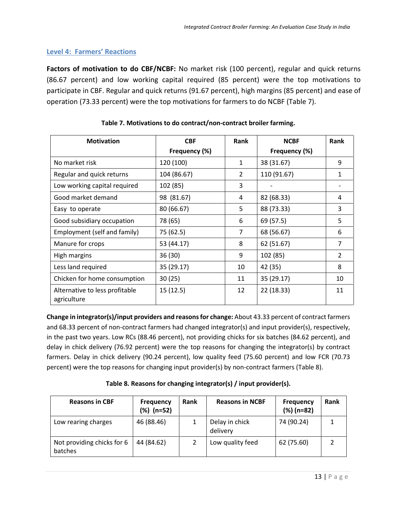# **Level 4: Farmers' Reactions**

**Factors of motivation to do CBF/NCBF:** No market risk (100 percent), regular and quick returns (86.67 percent) and low working capital required (85 percent) were the top motivations to participate in CBF. Regular and quick returns (91.67 percent), high margins (85 percent) and ease of operation (73.33 percent) were the top motivations for farmers to do NCBF (Table 7).

| <b>Motivation</b>                             | <b>CBF</b>    | Rank           | <b>NCBF</b>   | Rank |
|-----------------------------------------------|---------------|----------------|---------------|------|
|                                               | Frequency (%) |                | Frequency (%) |      |
| No market risk                                | 120 (100)     | 1              | 38 (31.67)    | 9    |
| Regular and quick returns                     | 104 (86.67)   | 2              | 110 (91.67)   | 1    |
| Low working capital required                  | 102 (85)      | 3              |               |      |
| Good market demand                            | 98 (81.67)    | 4              | 82 (68.33)    | 4    |
| Easy to operate                               | 80 (66.67)    | 5              | 88 (73.33)    | 3    |
| Good subsidiary occupation                    | 78 (65)       | 6              | 69 (57.5)     | 5    |
| Employment (self and family)                  | 75 (62.5)     | $\overline{7}$ | 68 (56.67)    | 6    |
| Manure for crops                              | 53 (44.17)    | 8              | 62 (51.67)    | 7    |
| High margins                                  | 36(30)        | 9              | 102 (85)      | 2    |
| Less land required                            | 35 (29.17)    | 10             | 42 (35)       | 8    |
| Chicken for home consumption                  | 30(25)        | 11             | 35 (29.17)    | 10   |
| Alternative to less profitable<br>agriculture | 15(12.5)      | 12             | 22 (18.33)    | 11   |

### **Table 7. Motivations to do contract/non-contract broiler farming.**

**Change in integrator(s)/input providers and reasons for change:** About 43.33 percent of contract farmers and 68.33 percent of non-contract farmers had changed integrator(s) and input provider(s), respectively, in the past two years. Low RCs (88.46 percent), not providing chicks for six batches (84.62 percent), and delay in chick delivery (76.92 percent) were the top reasons for changing the integrator(s) by contract farmers. Delay in chick delivery (90.24 percent), low quality feed (75.60 percent) and low FCR (70.73 percent) were the top reasons for changing input provider(s) by non-contract farmers (Table 8).

| <b>Reasons in CBF</b>                 | <b>Frequency</b><br>(%) (n=52) | <b>Rank</b> | <b>Reasons in NCBF</b>     | <b>Frequency</b><br>$(\%)$ (n=82) | Rank |
|---------------------------------------|--------------------------------|-------------|----------------------------|-----------------------------------|------|
| Low rearing charges                   | 46 (88.46)                     |             | Delay in chick<br>delivery | 74 (90.24)                        |      |
| Not providing chicks for 6<br>batches | 44 (84.62)                     |             | Low quality feed           | 62 (75.60)                        |      |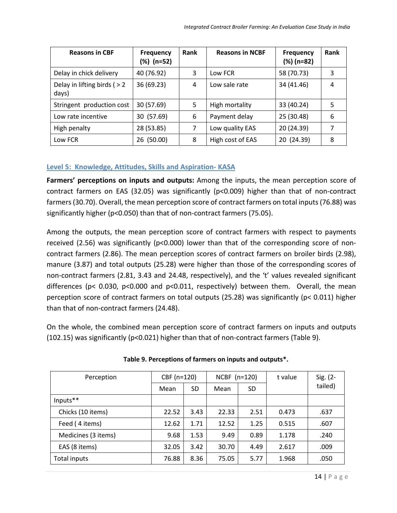| <b>Reasons in CBF</b>                   | <b>Frequency</b><br>(%) (n=52) | Rank | <b>Reasons in NCBF</b> | <b>Frequency</b><br>$(\%)$ (n=82) | Rank |
|-----------------------------------------|--------------------------------|------|------------------------|-----------------------------------|------|
| Delay in chick delivery                 | 40 (76.92)                     | 3    | Low FCR                | 58 (70.73)                        | 3    |
| Delay in lifting birds ( $> 2$<br>days) | 36 (69.23)                     | 4    | Low sale rate          | 34 (41.46)                        | 4    |
| Stringent production cost               | 30 (57.69)                     | 5    | High mortality         | 33 (40.24)                        | 5    |
| Low rate incentive                      | 30 (57.69)                     | 6    | Payment delay          | 25 (30.48)                        | 6    |
| High penalty                            | 28 (53.85)                     | 7    | Low quality EAS        | 20 (24.39)                        | 7    |
| Low FCR                                 | 26 (50.00)                     | 8    | High cost of EAS       | 20 (24.39)                        | 8    |

# **Level 5: Knowledge, Attitudes, Skills and Aspiration- KASA**

**Farmers' perceptions on inputs and outputs:** Among the inputs, the mean perception score of contract farmers on EAS (32.05) was significantly (p<0.009) higher than that of non-contract farmers (30.70). Overall, the mean perception score of contract farmers on total inputs (76.88) was significantly higher (p<0.050) than that of non-contract farmers (75.05).

Among the outputs, the mean perception score of contract farmers with respect to payments received (2.56) was significantly ( $p<0.000$ ) lower than that of the corresponding score of noncontract farmers (2.86). The mean perception scores of contract farmers on broiler birds (2.98), manure (3.87) and total outputs (25.28) were higher than those of the corresponding scores of non-contract farmers (2.81, 3.43 and 24.48, respectively), and the 't' values revealed significant differences (p< 0.030, p<0.000 and p<0.011, respectively) between them. Overall, the mean perception score of contract farmers on total outputs (25.28) was significantly (p< 0.011) higher than that of non-contract farmers (24.48).

On the whole, the combined mean perception score of contract farmers on inputs and outputs (102.15) was significantly (p<0.021) higher than that of non-contract farmers (Table 9).

| Perception          | CBF (n=120) |      | NCBF $(n=120)$ |      | t value | Sig. $(2 -$ |
|---------------------|-------------|------|----------------|------|---------|-------------|
|                     | Mean        | SD   | Mean           | SD   |         | tailed)     |
| Inputs**            |             |      |                |      |         |             |
| Chicks (10 items)   | 22.52       | 3.43 | 22.33          | 2.51 | 0.473   | .637        |
| Feed (4 items)      | 12.62       | 1.71 | 12.52          | 1.25 | 0.515   | .607        |
| Medicines (3 items) | 9.68        | 1.53 | 9.49           | 0.89 | 1.178   | .240        |
| EAS (8 items)       | 32.05       | 3.42 | 30.70          | 4.49 | 2.617   | .009        |
| Total inputs        | 76.88       | 8.36 | 75.05          | 5.77 | 1.968   | .050        |

#### **Table 9. Perceptions of farmers on inputs and outputs\*.**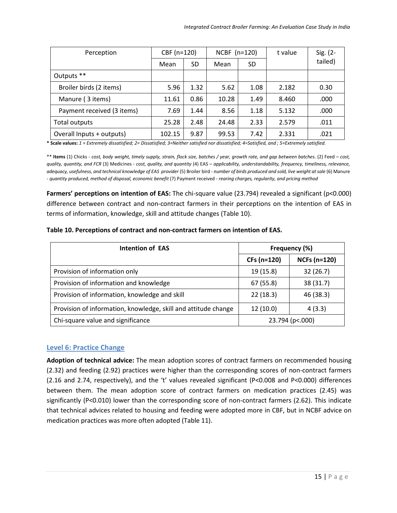| Perception                 | CBF (n=120) |      | NCBF $(n=120)$ |      | t value | Sig. (2- |
|----------------------------|-------------|------|----------------|------|---------|----------|
|                            | Mean        | SD   | Mean           | SD   |         | tailed)  |
| Outputs **                 |             |      |                |      |         |          |
| Broiler birds (2 items)    | 5.96        | 1.32 | 5.62           | 1.08 | 2.182   | 0.30     |
| Manure (3 items)           | 11.61       | 0.86 | 10.28          | 1.49 | 8.460   | .000     |
| Payment received (3 items) | 7.69        | 1.44 | 8.56           | 1.18 | 5.132   | .000     |
| Total outputs              | 25.28       | 2.48 | 24.48          | 2.33 | 2.579   | .011     |
| Overall Inputs + outputs)  | 102.15      | 9.87 | 99.53          | 7.42 | 2.331   | .021     |

**\* Scale values:** *1 = Extremely dissatisfied; 2= Dissatisfied; 3=Neither satisfied nor dissatisfied; 4=Satisfied, and ; 5=Extremely satisfied.* 

\*\* **Items** (1) Chicks - *cost, body weight, timely supply, strain, flock size, batches / year, growth rate, and gap between batches*. (2) Feed – *cost, quality, quantity, and FCR* (3) Medicines - *cost, quality, and quantity* (4) EAS – *applicability, understandability, frequency, timeliness, relevance, adequacy, usefulness, and technical knowledge of EAS provider* (5) Broiler bird *- number of birds produced and sold, live weight at sale* (6) Manure - *quantity produced, method of disposal, economic benefit* (7) Payment received - *rearing charges, regularity, and pricing method*

**Farmers' perceptions on intention of EAS:** The chi-square value (23.794) revealed a significant (p<0.000) difference between contract and non-contract farmers in their perceptions on the intention of EAS in terms of information, knowledge, skill and attitude changes (Table 10).

| Table 10. Perceptions of contract and non-contract farmers on intention of EAS. |  |
|---------------------------------------------------------------------------------|--|
|---------------------------------------------------------------------------------|--|

| <b>Intention of EAS</b>                                        | Frequency (%)     |                     |  |
|----------------------------------------------------------------|-------------------|---------------------|--|
|                                                                | CFs (n=120)       | <b>NCFs (n=120)</b> |  |
| Provision of information only                                  | 19 (15.8)         | 32(26.7)            |  |
| Provision of information and knowledge                         | 67 (55.8)         | 38 (31.7)           |  |
| Provision of information, knowledge and skill                  | 22(18.3)          | 46 (38.3)           |  |
| Provision of information, knowledge, skill and attitude change | 12(10.0)          | 4(3.3)              |  |
| Chi-square value and significance                              | 23.794 (p <. 000) |                     |  |

#### **Level 6: Practice Change**

**Adoption of technical advice:** The mean adoption scores of contract farmers on recommended housing (2.32) and feeding (2.92) practices were higher than the corresponding scores of non-contract farmers (2.16 and 2.74, respectively), and the 't' values revealed significant (P<0.008 and P<0.000) differences between them. The mean adoption score of contract farmers on medication practices (2.45) was significantly (P<0.010) lower than the corresponding score of non-contract farmers (2.62). This indicate that technical advices related to housing and feeding were adopted more in CBF, but in NCBF advice on medication practices was more often adopted (Table 11).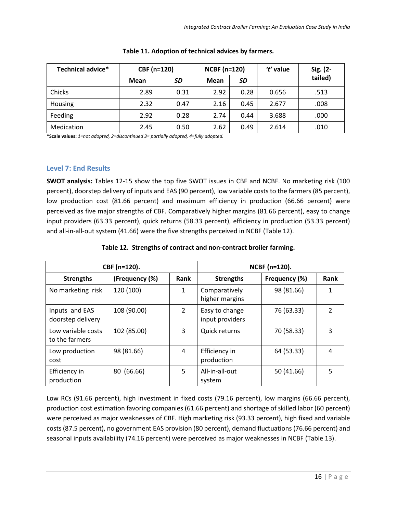| Technical advice* | CBF (n=120) |      | <b>NCBF (n=120)</b> |      | 't' value | Sig. (2- |
|-------------------|-------------|------|---------------------|------|-----------|----------|
|                   | Mean        | SD   | Mean                | SD   |           | tailed)  |
| Chicks            | 2.89        | 0.31 | 2.92                | 0.28 | 0.656     | .513     |
| Housing           | 2.32        | 0.47 | 2.16                | 0.45 | 2.677     | .008     |
| Feeding           | 2.92        | 0.28 | 2.74                | 0.44 | 3.688     | .000     |
| Medication        | 2.45        | 0.50 | 2.62                | 0.49 | 2.614     | .010     |

| Table 11. Adoption of technical advices by farmers. |  |  |  |
|-----------------------------------------------------|--|--|--|
|-----------------------------------------------------|--|--|--|

**\*Scale values:** *1=not adopted, 2=discontinued 3= partially adopted, 4=fully adopted.*

#### **Level 7: End Results**

**SWOT analysis:** Tables 12-15 show the top five SWOT issues in CBF and NCBF. No marketing risk (100 percent), doorstep delivery of inputs and EAS (90 percent), low variable costs to the farmers (85 percent), low production cost (81.66 percent) and maximum efficiency in production (66.66 percent) were perceived as five major strengths of CBF. Comparatively higher margins (81.66 percent), easy to change input providers (63.33 percent), quick returns (58.33 percent), efficiency in production (53.33 percent) and all-in-all-out system (41.66) were the five strengths perceived in NCBF (Table 12).

| CBF (n=120).                         |                |                | NCBF (n=120).                     |               |                |  |
|--------------------------------------|----------------|----------------|-----------------------------------|---------------|----------------|--|
| <b>Strengths</b>                     | (Frequency (%) | Rank           | <b>Strengths</b>                  | Frequency (%) | Rank           |  |
| No marketing risk                    | 120 (100)      | 1              | Comparatively<br>higher margins   | 98 (81.66)    | 1              |  |
| Inputs and EAS<br>doorstep delivery  | 108 (90.00)    | $\overline{2}$ | Easy to change<br>input providers | 76 (63.33)    | $\overline{2}$ |  |
| Low variable costs<br>to the farmers | 102 (85.00)    | 3              | <b>Quick returns</b>              | 70 (58.33)    | 3              |  |
| Low production<br>cost               | 98 (81.66)     | 4              | Efficiency in<br>production       | 64 (53.33)    | 4              |  |
| Efficiency in<br>production          | 80 (66.66)     | 5              | All-in-all-out<br>system          | 50 (41.66)    | 5              |  |

#### **Table 12. Strengths of contract and non-contract broiler farming.**

Low RCs (91.66 percent), high investment in fixed costs (79.16 percent), low margins (66.66 percent), production cost estimation favoring companies (61.66 percent) and shortage of skilled labor (60 percent) were perceived as major weaknesses of CBF. High marketing risk (93.33 percent), high fixed and variable costs (87.5 percent), no government EAS provision (80 percent), demand fluctuations (76.66 percent) and seasonal inputs availability (74.16 percent) were perceived as major weaknesses in NCBF (Table 13).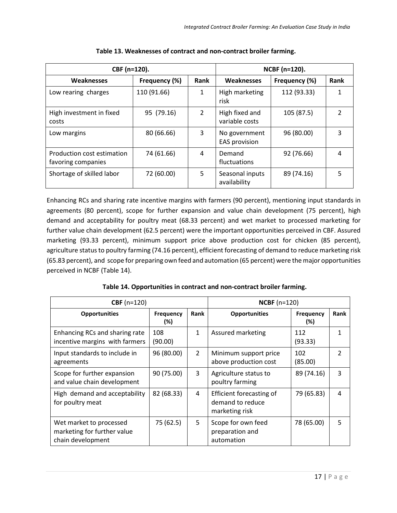| CBF (n=120).                                     | NCBF (n=120). |                |                                       |               |                |
|--------------------------------------------------|---------------|----------------|---------------------------------------|---------------|----------------|
| Weaknesses                                       | Frequency (%) | Rank           | <b>Weaknesses</b>                     | Frequency (%) | Rank           |
| Low rearing charges                              | 110 (91.66)   | 1              | High marketing<br>risk                | 112 (93.33)   | 1              |
| High investment in fixed<br>costs                | 95 (79.16)    | $\overline{2}$ | High fixed and<br>variable costs      | 105 (87.5)    | $\mathfrak{p}$ |
| Low margins                                      | 80 (66.66)    | 3              | No government<br><b>EAS provision</b> | 96 (80.00)    | 3              |
| Production cost estimation<br>favoring companies | 74 (61.66)    | 4              | Demand<br>fluctuations                | 92 (76.66)    | 4              |
| Shortage of skilled labor                        | 72 (60.00)    | 5              | Seasonal inputs<br>availability       | 89 (74.16)    | 5              |

| Table 13. Weaknesses of contract and non-contract broiler farming. |  |
|--------------------------------------------------------------------|--|
|--------------------------------------------------------------------|--|

Enhancing RCs and sharing rate incentive margins with farmers (90 percent), mentioning input standards in agreements (80 percent), scope for further expansion and value chain development (75 percent), high demand and acceptability for poultry meat (68.33 percent) and wet market to processed marketing for further value chain development (62.5 percent) were the important opportunities perceived in CBF. Assured marketing (93.33 percent), minimum support price above production cost for chicken (85 percent), agriculture status to poultry farming (74.16 percent), efficient forecasting of demand to reduce marketing risk (65.83 percent), and scope for preparing own feed and automation (65 percent) were the major opportunities perceived in NCBF (Table 14).

| $CBF(n=120)$                                                                | <b>NCBF</b> $(n=120)$ |                |                                                                |                         |      |
|-----------------------------------------------------------------------------|-----------------------|----------------|----------------------------------------------------------------|-------------------------|------|
| <b>Opportunities</b>                                                        | Frequency<br>$(\%)$   | <b>Rank</b>    | <b>Opportunities</b>                                           | <b>Frequency</b><br>(%) | Rank |
| Enhancing RCs and sharing rate<br>incentive margins with farmers            | 108<br>(90.00)        | $\mathbf{1}$   | Assured marketing                                              | 112<br>(93.33)          |      |
| Input standards to include in<br>agreements                                 | 96 (80.00)            | $\overline{2}$ | Minimum support price<br>above production cost                 | 102<br>(85.00)          | 2    |
| Scope for further expansion<br>and value chain development                  | 90 (75.00)            | 3              | Agriculture status to<br>poultry farming                       | 89 (74.16)              | 3    |
| High demand and acceptability<br>for poultry meat                           | 82 (68.33)            | 4              | Efficient forecasting of<br>demand to reduce<br>marketing risk | 79 (65.83)              | 4    |
| Wet market to processed<br>marketing for further value<br>chain development | 75 (62.5)             | 5              | Scope for own feed<br>preparation and<br>automation            | 78 (65.00)              | 5    |

**Table 14. Opportunities in contract and non-contract broiler farming.**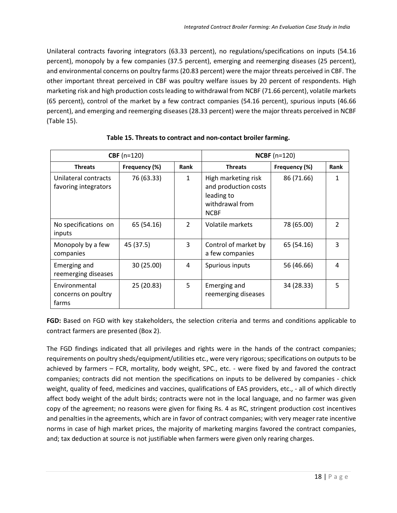Unilateral contracts favoring integrators (63.33 percent), no regulations/specifications on inputs (54.16 percent), monopoly by a few companies (37.5 percent), emerging and reemerging diseases (25 percent), and environmental concerns on poultry farms (20.83 percent) were the major threats perceived in CBF. The other important threat perceived in CBF was poultry welfare issues by 20 percent of respondents. High marketing risk and high production costs leading to withdrawal from NCBF (71.66 percent), volatile markets (65 percent), control of the market by a few contract companies (54.16 percent), spurious inputs (46.66 percent), and emerging and reemerging diseases (28.33 percent) were the major threats perceived in NCBF (Table 15).

| $CBF(n=120)$                                  |               |                | $NCBF (n=120)$                                                                              |               |                |  |
|-----------------------------------------------|---------------|----------------|---------------------------------------------------------------------------------------------|---------------|----------------|--|
| <b>Threats</b>                                | Frequency (%) | <b>Rank</b>    | <b>Threats</b>                                                                              | Frequency (%) | Rank           |  |
| Unilateral contracts<br>favoring integrators  | 76 (63.33)    | $\mathbf{1}$   | High marketing risk<br>and production costs<br>leading to<br>withdrawal from<br><b>NCBF</b> | 86 (71.66)    | 1              |  |
| No specifications on<br>inputs                | 65 (54.16)    | $\overline{2}$ | Volatile markets                                                                            | 78 (65.00)    | $\overline{2}$ |  |
| Monopoly by a few<br>companies                | 45 (37.5)     | 3              | Control of market by<br>a few companies                                                     | 65 (54.16)    | 3              |  |
| Emerging and<br>reemerging diseases           | 30 (25.00)    | 4              | Spurious inputs                                                                             | 56 (46.66)    | 4              |  |
| Environmental<br>concerns on poultry<br>farms | 25 (20.83)    | 5              | Emerging and<br>reemerging diseases                                                         | 34 (28.33)    | 5              |  |

**Table 15. Threats to contract and non-contact broiler farming.**

**FGD:** Based on FGD with key stakeholders, the selection criteria and terms and conditions applicable to contract farmers are presented (Box 2).

The FGD findings indicated that all privileges and rights were in the hands of the contract companies; requirements on poultry sheds/equipment/utilities etc., were very rigorous; specifications on outputs to be achieved by farmers – FCR, mortality, body weight, SPC., etc. - were fixed by and favored the contract companies; contracts did not mention the specifications on inputs to be delivered by companies - chick weight, quality of feed, medicines and vaccines, qualifications of EAS providers, etc., - all of which directly affect body weight of the adult birds; contracts were not in the local language, and no farmer was given copy of the agreement; no reasons were given for fixing Rs. 4 as RC, stringent production cost incentives and penalties in the agreements, which are in favor of contract companies; with very meager rate incentive norms in case of high market prices, the majority of marketing margins favored the contract companies, and; tax deduction at source is not justifiable when farmers were given only rearing charges.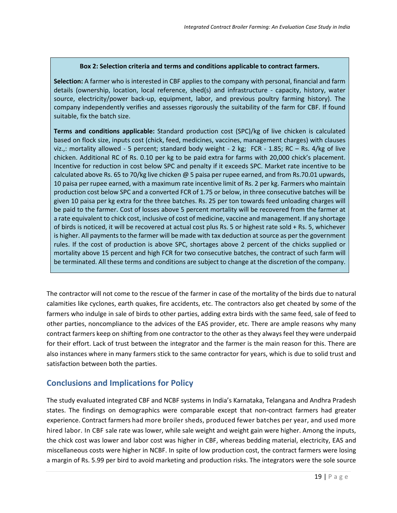#### **Box 2: Selection criteria and terms and conditions applicable to contract farmers.**

**Selection:** A farmer who is interested in CBF applies to the company with personal, financial and farm details (ownership, location, local reference, shed(s) and infrastructure - capacity, history, water source, electricity/power back-up, equipment, labor, and previous poultry farming history). The company independently verifies and assesses rigorously the suitability of the farm for CBF. If found suitable, fix the batch size.

**Terms and conditions applicable:** Standard production cost (SPC)/kg of live chicken is calculated based on flock size, inputs cost (chick, feed, medicines, vaccines, management charges) with clauses viz.,: mortality allowed - 5 percent; standard body weight - 2 kg; FCR - 1.85; RC – Rs. 4/kg of live chicken. Additional RC of Rs. 0.10 per kg to be paid extra for farms with 20,000 chick's placement. Incentive for reduction in cost below SPC and penalty if it exceeds SPC. Market rate incentive to be calculated above Rs. 65 to 70/kg live chicken @ 5 paisa per rupee earned, and from Rs.70.01 upwards, 10 paisa per rupee earned, with a maximum rate incentive limit of Rs. 2 per kg. Farmers who maintain production cost below SPC and a converted FCR of 1.75 or below, in three consecutive batches will be given 10 paisa per kg extra for the three batches. Rs. 25 per ton towards feed unloading charges will be paid to the farmer. Cost of losses above 5 percent mortality will be recovered from the farmer at a rate equivalent to chick cost, inclusive of cost of medicine, vaccine and management. If any shortage of birds is noticed, it will be recovered at actual cost plus Rs. 5 or highest rate sold + Rs. 5, whichever is higher. All payments to the farmer will be made with tax deduction at source as per the government rules. If the cost of production is above SPC, shortages above 2 percent of the chicks supplied or mortality above 15 percent and high FCR for two consecutive batches, the contract of such farm will be terminated. All these terms and conditions are subject to change at the discretion of the company.

The contractor will not come to the rescue of the farmer in case of the mortality of the birds due to natural calamities like cyclones, earth quakes, fire accidents, etc. The contractors also get cheated by some of the farmers who indulge in sale of birds to other parties, adding extra birds with the same feed, sale of feed to other parties, noncompliance to the advices of the EAS provider, etc. There are ample reasons why many contract farmers keep on shifting from one contractor to the other as they always feel they were underpaid for their effort. Lack of trust between the integrator and the farmer is the main reason for this. There are also instances where in many farmers stick to the same contractor for years, which is due to solid trust and satisfaction between both the parties.

# **Conclusions and Implications for Policy**

The study evaluated integrated CBF and NCBF systems in India's Karnataka, Telangana and Andhra Pradesh states. The findings on demographics were comparable except that non-contract farmers had greater experience. Contract farmers had more broiler sheds, produced fewer batches per year, and used more hired labor. In CBF sale rate was lower, while sale weight and weight gain were higher. Among the inputs, the chick cost was lower and labor cost was higher in CBF, whereas bedding material, electricity, EAS and miscellaneous costs were higher in NCBF. In spite of low production cost, the contract farmers were losing a margin of Rs. 5.99 per bird to avoid marketing and production risks. The integrators were the sole source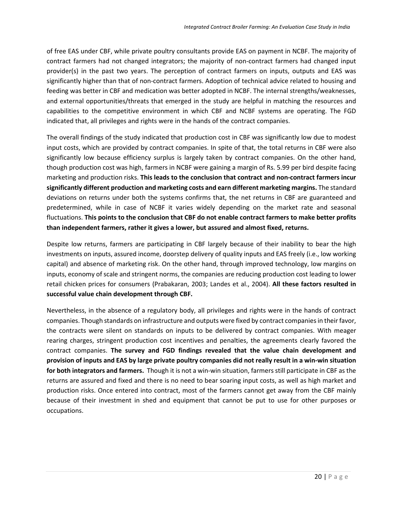of free EAS under CBF, while private poultry consultants provide EAS on payment in NCBF. The majority of contract farmers had not changed integrators; the majority of non-contract farmers had changed input provider(s) in the past two years. The perception of contract farmers on inputs, outputs and EAS was significantly higher than that of non-contract farmers. Adoption of technical advice related to housing and feeding was better in CBF and medication was better adopted in NCBF. The internal strengths/weaknesses, and external opportunities/threats that emerged in the study are helpful in matching the resources and capabilities to the competitive environment in which CBF and NCBF systems are operating. The FGD indicated that, all privileges and rights were in the hands of the contract companies.

The overall findings of the study indicated that production cost in CBF was significantly low due to modest input costs, which are provided by contract companies. In spite of that, the total returns in CBF were also significantly low because efficiency surplus is largely taken by contract companies. On the other hand, though production cost was high, farmers in NCBF were gaining a margin of Rs. 5.99 per bird despite facing marketing and production risks. **This leads to the conclusion that contract and non-contract farmers incur significantly different production and marketing costs and earn different marketing margins.** The standard deviations on returns under both the systems confirms that, the net returns in CBF are guaranteed and predetermined, while in case of NCBF it varies widely depending on the market rate and seasonal fluctuations. **This points to the conclusion that CBF do not enable contract farmers to make better profits than independent farmers, rather it gives a lower, but assured and almost fixed, returns.**

Despite low returns, farmers are participating in CBF largely because of their inability to bear the high investments on inputs, assured income, doorstep delivery of quality inputs and EAS freely (i.e., low working capital) and absence of marketing risk. On the other hand, through improved technology, low margins on inputs, economy of scale and stringent norms, the companies are reducing production cost leading to lower retail chicken prices for consumers (Prabakaran, 2003; Landes et al., 2004). **All these factors resulted in successful value chain development through CBF.**

Nevertheless, in the absence of a regulatory body, all privileges and rights were in the hands of contract companies. Though standards on infrastructure and outputs were fixed by contract companies in their favor, the contracts were silent on standards on inputs to be delivered by contract companies. With meager rearing charges, stringent production cost incentives and penalties, the agreements clearly favored the contract companies. **The survey and FGD findings revealed that the value chain development and provision of inputs and EAS by large private poultry companies did not really result in a win-win situation for both integrators and farmers.** Though it is not a win-win situation, farmers still participate in CBF as the returns are assured and fixed and there is no need to bear soaring input costs, as well as high market and production risks. Once entered into contract, most of the farmers cannot get away from the CBF mainly because of their investment in shed and equipment that cannot be put to use for other purposes or occupations.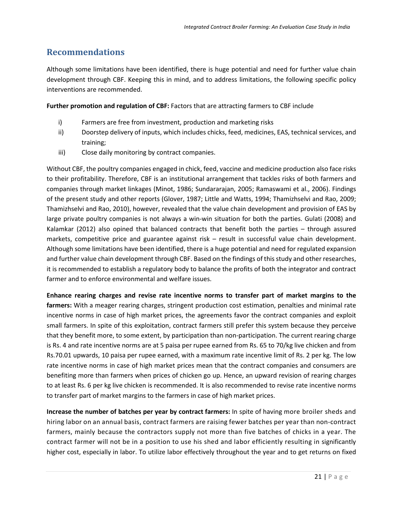# **Recommendations**

Although some limitations have been identified, there is huge potential and need for further value chain development through CBF. Keeping this in mind, and to address limitations, the following specific policy interventions are recommended.

**Further promotion and regulation of CBF:** Factors that are attracting farmers to CBF include

- i) Farmers are free from investment, production and marketing risks
- ii) Doorstep delivery of inputs, which includes chicks, feed, medicines, EAS, technical services, and training;
- iii) Close daily monitoring by contract companies.

Without CBF, the poultry companies engaged in chick, feed, vaccine and medicine production also face risks to their profitability. Therefore, CBF is an institutional arrangement that tackles risks of both farmers and companies through market linkages (Minot, 1986; Sundararajan, 2005; Ramaswami et al., 2006). Findings of the present study and other reports (Glover, 1987; Little and Watts, 1994; Thamizhselvi and Rao, 2009; Thamizhselvi and Rao, 2010), however, revealed that the value chain development and provision of EAS by large private poultry companies is not always a win-win situation for both the parties. Gulati (2008) and Kalamkar (2012) also opined that balanced contracts that benefit both the parties – through assured markets, competitive price and guarantee against risk – result in successful value chain development. Although some limitations have been identified, there is a huge potential and need for regulated expansion and further value chain development through CBF. Based on the findings of this study and other researches, it is recommended to establish a regulatory body to balance the profits of both the integrator and contract farmer and to enforce environmental and welfare issues.

**Enhance rearing charges and revise rate incentive norms to transfer part of market margins to the farmers:** With a meager rearing charges, stringent production cost estimation, penalties and minimal rate incentive norms in case of high market prices, the agreements favor the contract companies and exploit small farmers. In spite of this exploitation, contract farmers still prefer this system because they perceive that they benefit more, to some extent, by participation than non-participation. The current rearing charge is Rs. 4 and rate incentive norms are at 5 paisa per rupee earned from Rs. 65 to 70/kg live chicken and from Rs.70.01 upwards, 10 paisa per rupee earned, with a maximum rate incentive limit of Rs. 2 per kg. The low rate incentive norms in case of high market prices mean that the contract companies and consumers are benefiting more than farmers when prices of chicken go up. Hence, an upward revision of rearing charges to at least Rs. 6 per kg live chicken is recommended. It is also recommended to revise rate incentive norms to transfer part of market margins to the farmers in case of high market prices.

**Increase the number of batches per year by contract farmers:** In spite of having more broiler sheds and hiring labor on an annual basis, contract farmers are raising fewer batches per year than non-contract farmers, mainly because the contractors supply not more than five batches of chicks in a year. The contract farmer will not be in a position to use his shed and labor efficiently resulting in significantly higher cost, especially in labor. To utilize labor effectively throughout the year and to get returns on fixed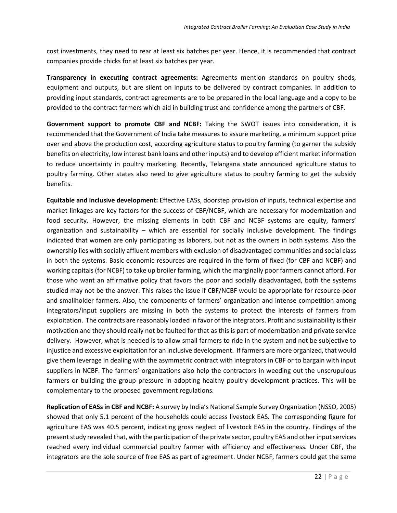cost investments, they need to rear at least six batches per year. Hence, it is recommended that contract companies provide chicks for at least six batches per year.

**Transparency in executing contract agreements:** Agreements mention standards on poultry sheds, equipment and outputs, but are silent on inputs to be delivered by contract companies. In addition to providing input standards, contract agreements are to be prepared in the local language and a copy to be provided to the contract farmers which aid in building trust and confidence among the partners of CBF.

**Government support to promote CBF and NCBF:** Taking the SWOT issues into consideration, it is recommended that the Government of India take measures to assure marketing, a minimum support price over and above the production cost, according agriculture status to poultry farming (to garner the subsidy benefits on electricity, low interest bank loans and other inputs) and to develop efficient market information to reduce uncertainty in poultry marketing. Recently, Telangana state announced agriculture status to poultry farming. Other states also need to give agriculture status to poultry farming to get the subsidy benefits.

**Equitable and inclusive development:** Effective EASs, doorstep provision of inputs, technical expertise and market linkages are key factors for the success of CBF/NCBF, which are necessary for modernization and food security. However, the missing elements in both CBF and NCBF systems are equity, farmers' organization and sustainability – which are essential for socially inclusive development. The findings indicated that women are only participating as laborers, but not as the owners in both systems. Also the ownership lies with socially affluent members with exclusion of disadvantaged communities and social class in both the systems. Basic economic resources are required in the form of fixed (for CBF and NCBF) and working capitals (for NCBF) to take up broiler farming, which the marginally poor farmers cannot afford. For those who want an affirmative policy that favors the poor and socially disadvantaged, both the systems studied may not be the answer. This raises the issue if CBF/NCBF would be appropriate for resource-poor and smallholder farmers. Also, the components of farmers' organization and intense competition among integrators/input suppliers are missing in both the systems to protect the interests of farmers from exploitation. The contracts are reasonably loaded in favor of the integrators. Profit and sustainability is their motivation and they should really not be faulted for that as this is part of modernization and private service delivery. However, what is needed is to allow small farmers to ride in the system and not be subjective to injustice and excessive exploitation for an inclusive development. If farmers are more organized, that would give them leverage in dealing with the asymmetric contract with integrators in CBF or to bargain with input suppliers in NCBF. The farmers' organizations also help the contractors in weeding out the unscrupulous farmers or building the group pressure in adopting healthy poultry development practices. This will be complementary to the proposed government regulations.

**Replication of EASs in CBF and NCBF:** A survey by India's National Sample Survey Organization (NSSO, 2005) showed that only 5.1 percent of the households could access livestock EAS. The corresponding figure for agriculture EAS was 40.5 percent, indicating gross neglect of livestock EAS in the country. Findings of the present study revealed that, with the participation of the private sector, poultry EAS and other input services reached every individual commercial poultry farmer with efficiency and effectiveness. Under CBF, the integrators are the sole source of free EAS as part of agreement. Under NCBF, farmers could get the same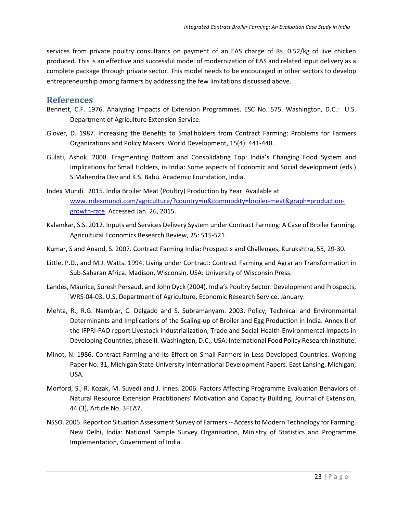services from private poultry consultants on payment of an EAS charge of Rs. 0.52/kg of live chicken produced. This is an effective and successful model of modernization of EAS and related input delivery as a complete package through private sector. This model needs to be encouraged in other sectors to develop entrepreneurship among farmers by addressing the few limitations discussed above.

#### **References**

- Bennett, C.F. 1976. Analyzing Impacts of Extension Programmes. ESC No. 575. Washington, D.C.: U.S. Department of Agriculture Extension Service.
- Glover, D. 1987. Increasing the Benefits to Smallholders from Contract Farming: Problems for Farmers Organizations and Policy Makers. World Development, 15(4): 441-448.
- Gulati, Ashok. 2008. Fragmenting Bottom and Consolidating Top: India's Changing Food System and Implications for Small Holders, in India: Some aspects of Economic and Social development (eds.) S.Mahendra Dev and K.S. Babu. Academic Foundation, India.
- Index Mundi. 2015. India Broiler Meat (Poultry) Production by Year. Available at [www.indexmundi.com/agriculture/?country=in&commodity=broiler-meat&graph=production](http://www.indexmundi.com/agriculture/?country=in&commodity=broiler-meat&graph=production-growth-rate)[growth-rate.](http://www.indexmundi.com/agriculture/?country=in&commodity=broiler-meat&graph=production-growth-rate) Accessed Jan. 26, 2015.
- Kalamkar, S.S. 2012. Inputs and Services Delivery System under Contract Farming: A Case of Broiler Farming. Agricultural Economics Research Review, 25: 515-521.
- Kumar, S and Anand, S. 2007. Contract Farming India: Prospect s and Challenges, Kurukshtra, 55, 29-30.
- Little, P.D., and M.J. Watts. 1994. Living under Contract: Contract Farming and Agrarian Transformation in Sub-Saharan Africa. Madison, Wisconsin, USA: University of Wisconsin Press.
- Landes, Maurice, Suresh Persaud, and John Dyck (2004). India's Poultry Sector: Development and Prospects, WRS-04-03. U.S. Department of Agriculture, Economic Research Service. January.
- Mehta, R., R.G. Nambiar, C. Delgado and S. Subramanyam. 2003. Policy, Technical and Environmental Determinants and Implications of the Scaling-up of Broiler and Egg Production in India. Annex II of the IFPRI-FAO report Livestock Industrialization, Trade and Social-Health-Environmental Impacts in Developing Countries, phase II. Washington, D.C., USA: International Food Policy Research Institute.
- Minot, N. 1986. Contract Farming and its Effect on Small Farmers in Less Developed Countries. Working Paper No. 31, Michigan State University International Development Papers. East Lansing, Michigan, USA.
- Morford, S., R. Kozak, M. Suvedi and J. Innes. 2006. Factors Affecting Programme Evaluation Behaviors of Natural Resource Extension Practitioners' Motivation and Capacity Building, Journal of Extension, 44 (3), Article No. 3FEA7.
- NSSO. 2005. Report on Situation Assessment Survey of Farmers -- Access to Modern Technology for Farming. New Delhi, India: National Sample Survey Organisation, Ministry of Statistics and Programme Implementation, Government of India.